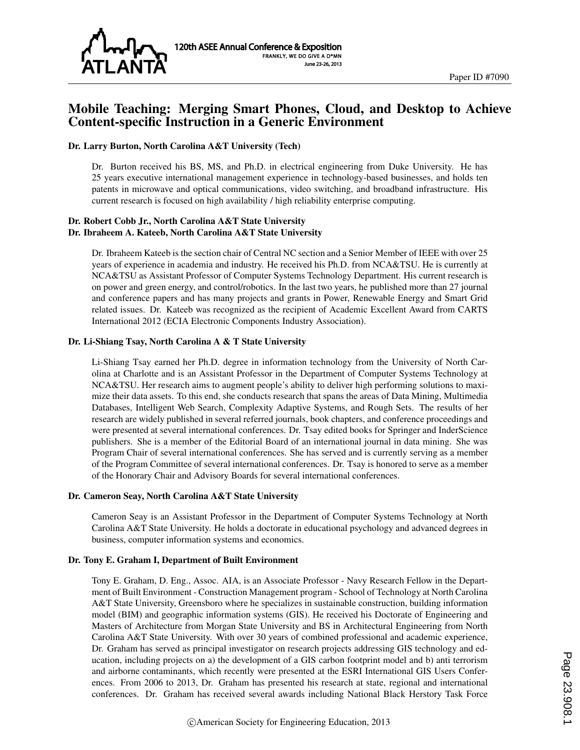

# Mobile Teaching: Merging Smart Phones, Cloud, and Desktop to Achieve Content-specific Instruction in a Generic Environment

#### Dr. Larry Burton, North Carolina A&T University (Tech)

Dr. Burton received his BS, MS, and Ph.D. in electrical engineering from Duke University. He has 25 years executive international management experience in technology-based businesses, and holds ten patents in microwave and optical communications, video switching, and broadband infrastructure. His current research is focused on high availability / high reliability enterprise computing.

#### Dr. Robert Cobb Jr., North Carolina A&T State University Dr. Ibraheem A. Kateeb, North Carolina A&T State University

Dr. Ibraheem Kateeb is the section chair of Central NC section and a Senior Member of IEEE with over 25 years of experience in academia and industry. He received his Ph.D. from NCA&TSU. He is currently at NCA&TSU as Assistant Professor of Computer Systems Technology Department. His current research is on power and green energy, and control/robotics. In the last two years, he published more than 27 journal and conference papers and has many projects and grants in Power, Renewable Energy and Smart Grid related issues. Dr. Kateeb was recognized as the recipient of Academic Excellent Award from CARTS International 2012 (ECIA Electronic Components Industry Association).

#### Dr. Li-Shiang Tsay, North Carolina A & T State University

Li-Shiang Tsay earned her Ph.D. degree in information technology from the University of North Carolina at Charlotte and is an Assistant Professor in the Department of Computer Systems Technology at NCA&TSU. Her research aims to augment people's ability to deliver high performing solutions to maximize their data assets. To this end, she conducts research that spans the areas of Data Mining, Multimedia Databases, Intelligent Web Search, Complexity Adaptive Systems, and Rough Sets. The results of her research are widely published in several referred journals, book chapters, and conference proceedings and were presented at several international conferences. Dr. Tsay edited books for Springer and InderScience publishers. She is a member of the Editorial Board of an international journal in data mining. She was Program Chair of several international conferences. She has served and is currently serving as a member of the Program Committee of several international conferences. Dr. Tsay is honored to serve as a member of the Honorary Chair and Advisory Boards for several international conferences.

#### Dr. Cameron Seay, North Carolina A&T State University

Cameron Seay is an Assistant Professor in the Department of Computer Systems Technology at North Carolina A&T State University. He holds a doctorate in educational psychology and advanced degrees in business, computer information systems and economics.

#### Dr. Tony E. Graham I, Department of Built Environment

Tony E. Graham, D. Eng., Assoc. AIA, is an Associate Professor - Navy Research Fellow in the Department of Built Environment - Construction Management program - School of Technology at North Carolina A&T State University, Greensboro where he specializes in sustainable construction, building information model (BIM) and geographic information systems (GIS). He received his Doctorate of Engineering and Masters of Architecture from Morgan State University and BS in Architectural Engineering from North Carolina A&T State University. With over 30 years of combined professional and academic experience, Dr. Graham has served as principal investigator on research projects addressing GIS technology and education, including projects on a) the development of a GIS carbon footprint model and b) anti terrorism and airborne contaminants, which recently were presented at the ESRI International GIS Users Conferences. From 2006 to 2013, Dr. Graham has presented his research at state, regional and international conferences. Dr. Graham has received several awards including National Black Herstory Task Force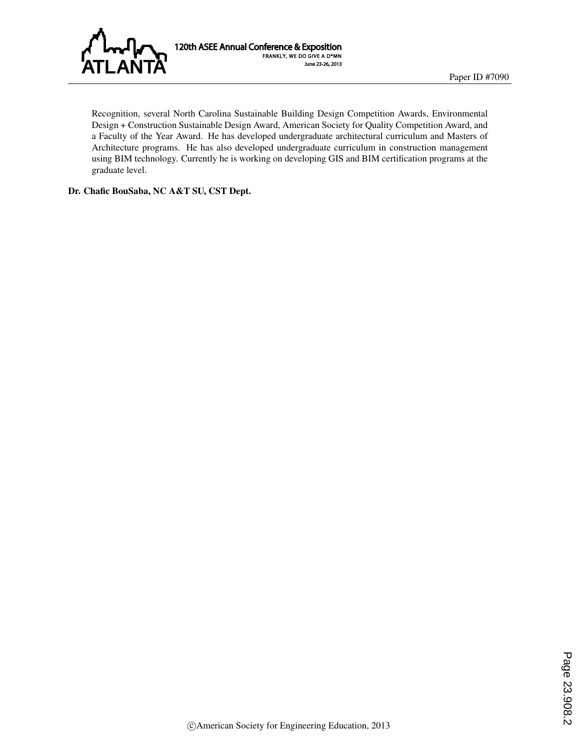

120th ASEE Annual Conference & Exposition FRANKLY, WE DO GIVE A D\*MN June 23-26, 2013

Recognition, several North Carolina Sustainable Building Design Competition Awards, Environmental Design + Construction Sustainable Design Award, American Society for Quality Competition Award, and a Faculty of the Year Award. He has developed undergraduate architectural curriculum and Masters of Architecture programs. He has also developed undergraduate curriculum in construction management using BIM technology. Currently he is working on developing GIS and BIM certification programs at the graduate level.

Dr. Chafic BouSaba, NC A&T SU, CST Dept.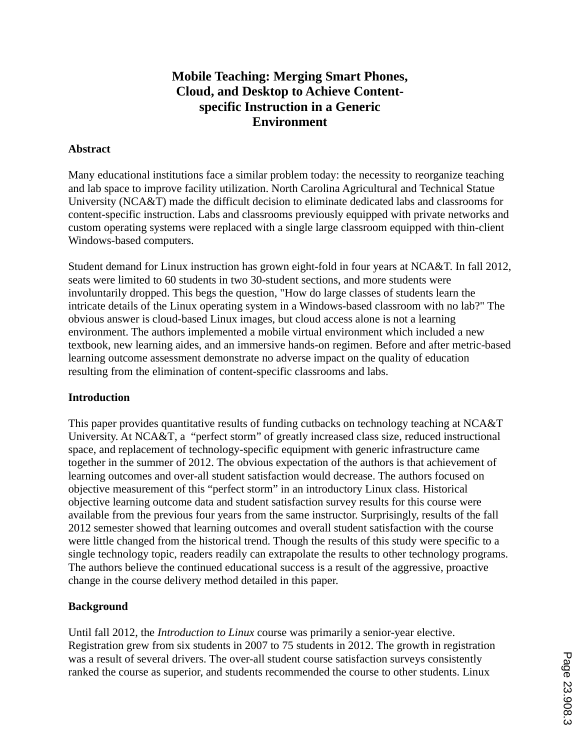# **Mobile Teaching: Merging Smart Phones, Cloud, and Desktop to Achieve Contentspecific Instruction in a Generic Environment**

# **Abstract**

Many educational institutions face a similar problem today: the necessity to reorganize teaching and lab space to improve facility utilization. North Carolina Agricultural and Technical Statue University (NCA&T) made the difficult decision to eliminate dedicated labs and classrooms for content-specific instruction. Labs and classrooms previously equipped with private networks and custom operating systems were replaced with a single large classroom equipped with thin-client Windows-based computers.

Student demand for Linux instruction has grown eight-fold in four years at NCA&T. In fall 2012, seats were limited to 60 students in two 30-student sections, and more students were involuntarily dropped. This begs the question, "How do large classes of students learn the intricate details of the Linux operating system in a Windows-based classroom with no lab?" The obvious answer is cloud-based Linux images, but cloud access alone is not a learning environment. The authors implemented a mobile virtual environment which included a new textbook, new learning aides, and an immersive hands-on regimen. Before and after metric-based learning outcome assessment demonstrate no adverse impact on the quality of education resulting from the elimination of content-specific classrooms and labs.

# **Introduction**

This paper provides quantitative results of funding cutbacks on technology teaching at NCA&T University. At NCA&T, a "perfect storm" of greatly increased class size, reduced instructional space, and replacement of technology-specific equipment with generic infrastructure came together in the summer of 2012. The obvious expectation of the authors is that achievement of learning outcomes and over-all student satisfaction would decrease. The authors focused on objective measurement of this "perfect storm" in an introductory Linux class. Historical objective learning outcome data and student satisfaction survey results for this course were available from the previous four years from the same instructor. Surprisingly, results of the fall 2012 semester showed that learning outcomes and overall student satisfaction with the course were little changed from the historical trend. Though the results of this study were specific to a single technology topic, readers readily can extrapolate the results to other technology programs. The authors believe the continued educational success is a result of the aggressive, proactive change in the course delivery method detailed in this paper.

# **Background**

Until fall 2012, the *Introduction to Linux* course was primarily a senior-year elective. Registration grew from six students in 2007 to 75 students in 2012. The growth in registration was a result of several drivers. The over-all student course satisfaction surveys consistently ranked the course as superior, and students recommended the course to other students. Linux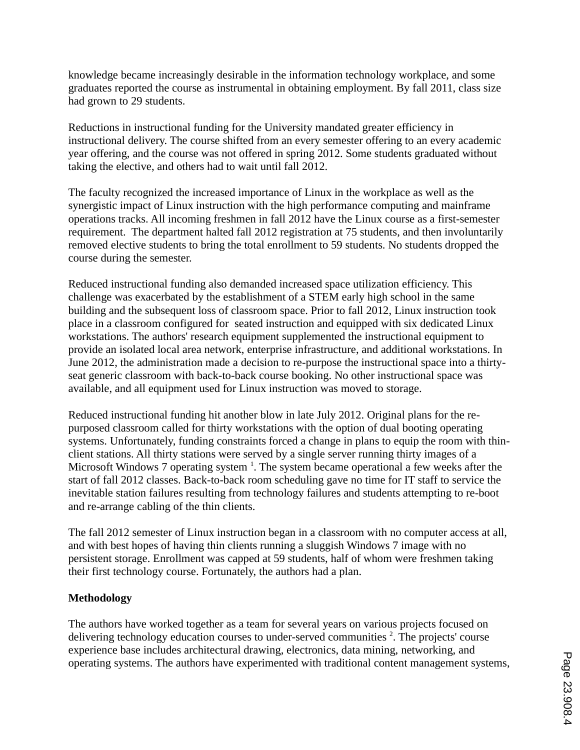knowledge became increasingly desirable in the information technology workplace, and some graduates reported the course as instrumental in obtaining employment. By fall 2011, class size had grown to 29 students.

Reductions in instructional funding for the University mandated greater efficiency in instructional delivery. The course shifted from an every semester offering to an every academic year offering, and the course was not offered in spring 2012. Some students graduated without taking the elective, and others had to wait until fall 2012.

The faculty recognized the increased importance of Linux in the workplace as well as the synergistic impact of Linux instruction with the high performance computing and mainframe operations tracks. All incoming freshmen in fall 2012 have the Linux course as a first-semester requirement. The department halted fall 2012 registration at 75 students, and then involuntarily removed elective students to bring the total enrollment to 59 students. No students dropped the course during the semester.

Reduced instructional funding also demanded increased space utilization efficiency. This challenge was exacerbated by the establishment of a STEM early high school in the same building and the subsequent loss of classroom space. Prior to fall 2012, Linux instruction took place in a classroom configured for seated instruction and equipped with six dedicated Linux workstations. The authors' research equipment supplemented the instructional equipment to provide an isolated local area network, enterprise infrastructure, and additional workstations. In June 2012, the administration made a decision to re-purpose the instructional space into a thirtyseat generic classroom with back-to-back course booking. No other instructional space was available, and all equipment used for Linux instruction was moved to storage.

Reduced instructional funding hit another blow in late July 2012. Original plans for the repurposed classroom called for thirty workstations with the option of dual booting operating systems. Unfortunately, funding constraints forced a change in plans to equip the room with thinclient stations. All thirty stations were served by a single server running thirty images of a Microsoft Windows 7 operating system  $^1$ . The system became operational a few weeks after the start of fall 2012 classes. Back-to-back room scheduling gave no time for IT staff to service the inevitable station failures resulting from technology failures and students attempting to re-boot and re-arrange cabling of the thin clients.

The fall 2012 semester of Linux instruction began in a classroom with no computer access at all, and with best hopes of having thin clients running a sluggish Windows 7 image with no persistent storage. Enrollment was capped at 59 students, half of whom were freshmen taking their first technology course. Fortunately, the authors had a plan.

# **Methodology**

The authors have worked together as a team for several years on various projects focused on delivering technology education courses to under-served communities<sup>2</sup>. The projects' course experience base includes architectural drawing, electronics, data mining, networking, and operating systems. The authors have experimented with traditional content management systems,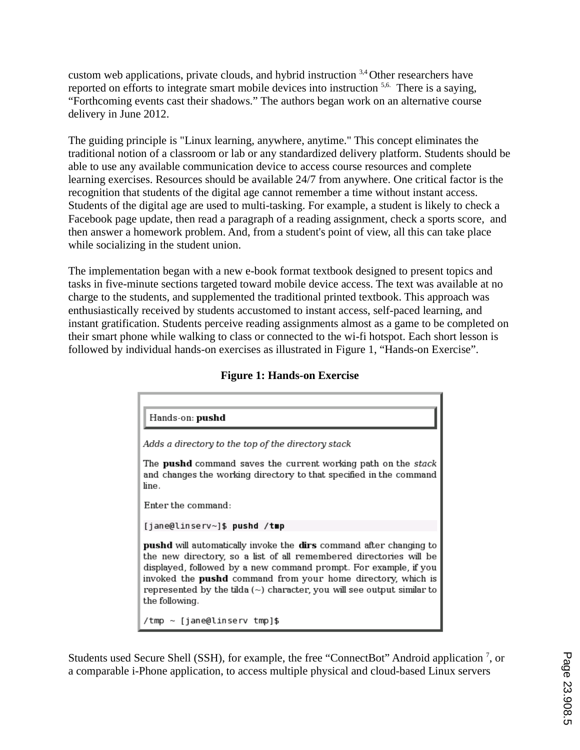custom web applications, private clouds, and hybrid instruction  $3,4$  Other researchers have reported on efforts to integrate smart mobile devices into instruction <sup>5,6.</sup> There is a saying, "Forthcoming events cast their shadows." The authors began work on an alternative course delivery in June 2012.

The guiding principle is "Linux learning, anywhere, anytime." This concept eliminates the traditional notion of a classroom or lab or any standardized delivery platform. Students should be able to use any available communication device to access course resources and complete learning exercises. Resources should be available 24/7 from anywhere. One critical factor is the recognition that students of the digital age cannot remember a time without instant access. Students of the digital age are used to multi-tasking. For example, a student is likely to check a Facebook page update, then read a paragraph of a reading assignment, check a sports score, and then answer a homework problem. And, from a student's point of view, all this can take place while socializing in the student union.

The implementation began with a new e-book format textbook designed to present topics and tasks in five-minute sections targeted toward mobile device access. The text was available at no charge to the students, and supplemented the traditional printed textbook. This approach was enthusiastically received by students accustomed to instant access, self-paced learning, and instant gratification. Students perceive reading assignments almost as a game to be completed on their smart phone while walking to class or connected to the wi-fi hotspot. Each short lesson is followed by individual hands-on exercises as illustrated in Figure 1, "Hands-on Exercise".

| Hands-on: pushd                                                                                                                                                                                                                                                                                                                                                                             |
|---------------------------------------------------------------------------------------------------------------------------------------------------------------------------------------------------------------------------------------------------------------------------------------------------------------------------------------------------------------------------------------------|
| Adds a directory to the top of the directory stack                                                                                                                                                                                                                                                                                                                                          |
| The <b>pushd</b> command saves the current working path on the stack<br>and changes the working directory to that specified in the command<br>line.                                                                                                                                                                                                                                         |
| Enter the command:                                                                                                                                                                                                                                                                                                                                                                          |
| [jane@linserv~]\$ pushd /tmp                                                                                                                                                                                                                                                                                                                                                                |
| <b>pushd</b> will automatically invoke the dirs command after changing to<br>the new directory, so a list of all remembered directories will be<br>displayed, followed by a new command prompt. For example, if you<br>invoked the <b>pushd</b> command from your home directory, which is<br>represented by the tilda $(\sim)$ character, you will see output similar to<br>the following. |
| $\frac{1}{2}$ /tmp $\sim$ [iane@linserv tmpl\$                                                                                                                                                                                                                                                                                                                                              |

### **Figure 1: Hands-on Exercise**

Students used Secure Shell (SSH), for example, the free "ConnectBot" Android application <sup>7</sup>, or a comparable i-Phone application, to access multiple physical and cloud-based Linux servers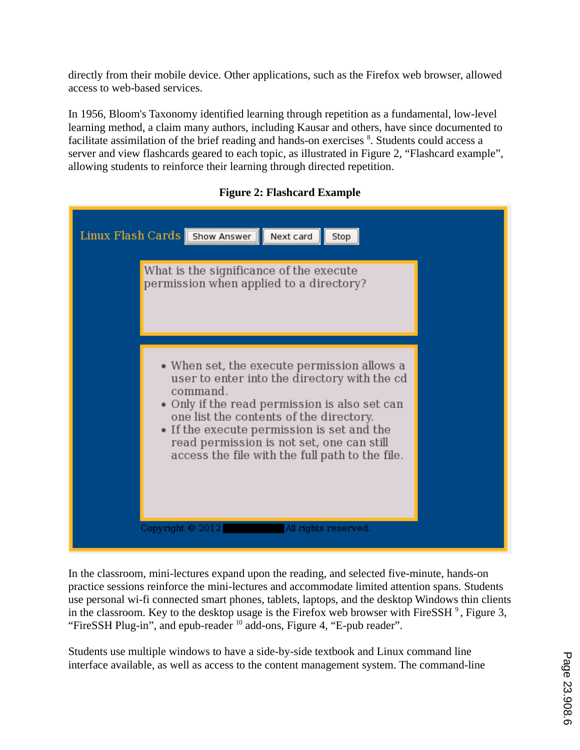directly from their mobile device. Other applications, such as the Firefox web browser, allowed access to web-based services.

In 1956, Bloom's Taxonomy identified learning through repetition as a fundamental, low-level learning method, a claim many authors, including Kausar and others, have since documented to facilitate assimilation of the brief reading and hands-on exercises <sup>8</sup>. Students could access a server and view flashcards geared to each topic, as illustrated in Figure 2, "Flashcard example", allowing students to reinforce their learning through directed repetition.

# **Figure 2: Flashcard Example**

| Linux Flash Cards Show Answer<br>Next card<br>Stop<br>What is the significance of the execute<br>permission when applied to a directory?                                                                                                           |  |
|----------------------------------------------------------------------------------------------------------------------------------------------------------------------------------------------------------------------------------------------------|--|
| • When set, the execute permission allows a<br>user to enter into the directory with the cd                                                                                                                                                        |  |
| command.<br>• Only if the read permission is also set can<br>one list the contents of the directory.<br>• If the execute permission is set and the<br>read permission is not set, one can still<br>access the file with the full path to the file. |  |
| All rights reserved.<br>Copyright © 2012                                                                                                                                                                                                           |  |

In the classroom, mini-lectures expand upon the reading, and selected five-minute, hands-on practice sessions reinforce the mini-lectures and accommodate limited attention spans. Students use personal wi-fi connected smart phones, tablets, laptops, and the desktop Windows thin clients in the classroom. Key to the desktop usage is the Firefox web browser with FireSSH  $^9$  , Figure 3, "FireSSH Plug-in", and epub-reader <sup>10</sup> add-ons, Figure 4, "E-pub reader".

Students use multiple windows to have a side-by-side textbook and Linux command line interface available, as well as access to the content management system. The command-line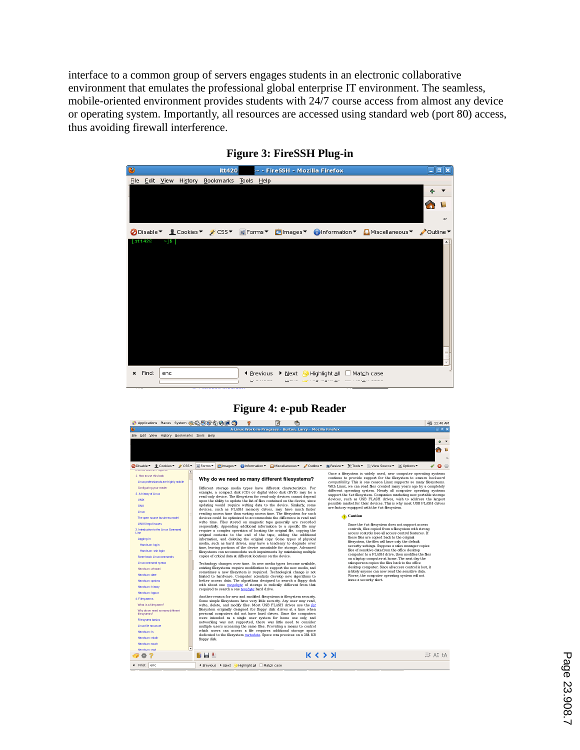interface to a common group of servers engages students in an electronic collaborative environment that emulates the professional global enterprise IT environment. The seamless, mobile-oriented environment provides students with 24/7 course access from almost any device or operating system. Importantly, all resources are accessed using standard web (port 80) access, thus avoiding firewall interference.



#### **Figure 3: FireSSH Plug-in**

**Figure 4: e-pub Reader**

| example, a compact disk (CD) or digital video disk (DVD) may be a<br>2. A history of Linux<br>read-only device. The filesystem for read-only devices cannot depend<br>UNIX<br>upon the ability to update the list of files contained on the device, since<br>updating would require writing data to the device. Similarly, some<br><b>GNU</b><br>devices, such as FLASH memory drives, may have much faster<br>Linux<br>reading access time than writing access time. The filesystem for such<br>devices could be optimized to accommodate the difference in read and<br>The open source business model<br>write time. Files stored on magnetic tape generally are recorded<br><b>LINUX legal issues</b><br>sequentially. Appending additional information to a specific file may<br>3. Introduction to the Linux Command<br>require a complex operation of locating the original file, copying the<br>Line<br>original contents to the end of the tape, adding the additional<br>Logging in<br>information, and deleting the original copy. Some types of physical<br>media, such as hard drives, may have a tendency to degrade over<br>Handson: login<br>time, leaving portions of the device unsuitable for storage. Advanced<br>Handson: ssh login<br>filesystems can accommodate such impairments by maintaining multiple<br>copies of critical data at different locations on the device.<br>Some basic Linux commands<br>Linux command syntax<br>Technology changes over time. As new media types become available.<br>existing filesystems require modification to support the new media, and<br>Handson: whoami<br>sometimes a new filesystem is required. Technological change is not<br>Handson: date<br>limited to hardware. Computer scientists develop new algorithms to<br>better access data. The algorithms designed to search a floppy disk<br>Hands-on: options<br>with about one megabyte of storage is radically different from that<br>Handson: history<br>required to search a one terabyte hard drive.<br>Handson: logout<br>Another reason for new and modified filesystems is filesystem security.<br>4. Filesystems<br>Some simple filesystems have very little security. Any user may read,<br>What is a file system?<br>write, delete, and modify files. Most USB FLASH drives use the fat<br>filesystem originally designed for floppy disk drives at a time when<br>Why do we need so many different<br>personal computers did not have hard drives. Since the computers<br>file systems?<br>were intended as a single user system for home use only, and<br>Filesystem basics<br>networking was not supported, there was little need to consider<br>Linux file structure<br>multiple users accessing the same files. Providing a means to control<br>which users can access a file requires additional storage space<br>Handson: Is<br>dedicated to the filesystem metadata. Space was precious on a 384 KB<br>Handson: mkdir<br>floppy disk.<br>Handson: touch<br>$\overline{\phantom{a}}$<br>Handson: owt<br>K < Y<br>n la t | different operating system. Nearly all computer operating systems<br>support the fat filesystem. Companies marketing new portable storage<br>devices, such as USB FLASH drives, wish to address the largest<br>possible market for their devices. This is why most USB FLASH drives<br>are factory-equipped with the fat filesystem.<br><b>Caution</b><br>Since the fat filesystem does not support access<br>controls, files copied from a filesystem with strong<br>access controls lose all access control features. If<br>these files are copied back to the original<br>filesystem, the files will have only the default<br>security settings. Suppose a sales manager copies<br>files of sensitive data from the office desktop<br>computer to a FLASH drive, then modifies the files<br>on a laptop computer at home. The next day the<br>salesperson copies the files back to the office<br>desktop computer. Since all access control is lost, it<br>is likely anyone can now read the sensitive data.<br>Worse, the computer operating system will not<br>issue a security alert.<br>E1 A7 24 |
|-----------------------------------------------------------------------------------------------------------------------------------------------------------------------------------------------------------------------------------------------------------------------------------------------------------------------------------------------------------------------------------------------------------------------------------------------------------------------------------------------------------------------------------------------------------------------------------------------------------------------------------------------------------------------------------------------------------------------------------------------------------------------------------------------------------------------------------------------------------------------------------------------------------------------------------------------------------------------------------------------------------------------------------------------------------------------------------------------------------------------------------------------------------------------------------------------------------------------------------------------------------------------------------------------------------------------------------------------------------------------------------------------------------------------------------------------------------------------------------------------------------------------------------------------------------------------------------------------------------------------------------------------------------------------------------------------------------------------------------------------------------------------------------------------------------------------------------------------------------------------------------------------------------------------------------------------------------------------------------------------------------------------------------------------------------------------------------------------------------------------------------------------------------------------------------------------------------------------------------------------------------------------------------------------------------------------------------------------------------------------------------------------------------------------------------------------------------------------------------------------------------------------------------------------------------------------------------------------------------------------------------------------------------------------------------------------------------------------------------------------------------------------------------------------------------------------------------------------------------------------------------------------------------------------------------------------------------------------------------------------------------------------------------------------------------------|---------------------------------------------------------------------------------------------------------------------------------------------------------------------------------------------------------------------------------------------------------------------------------------------------------------------------------------------------------------------------------------------------------------------------------------------------------------------------------------------------------------------------------------------------------------------------------------------------------------------------------------------------------------------------------------------------------------------------------------------------------------------------------------------------------------------------------------------------------------------------------------------------------------------------------------------------------------------------------------------------------------------------------------------------------------------------------------------------------|
|-----------------------------------------------------------------------------------------------------------------------------------------------------------------------------------------------------------------------------------------------------------------------------------------------------------------------------------------------------------------------------------------------------------------------------------------------------------------------------------------------------------------------------------------------------------------------------------------------------------------------------------------------------------------------------------------------------------------------------------------------------------------------------------------------------------------------------------------------------------------------------------------------------------------------------------------------------------------------------------------------------------------------------------------------------------------------------------------------------------------------------------------------------------------------------------------------------------------------------------------------------------------------------------------------------------------------------------------------------------------------------------------------------------------------------------------------------------------------------------------------------------------------------------------------------------------------------------------------------------------------------------------------------------------------------------------------------------------------------------------------------------------------------------------------------------------------------------------------------------------------------------------------------------------------------------------------------------------------------------------------------------------------------------------------------------------------------------------------------------------------------------------------------------------------------------------------------------------------------------------------------------------------------------------------------------------------------------------------------------------------------------------------------------------------------------------------------------------------------------------------------------------------------------------------------------------------------------------------------------------------------------------------------------------------------------------------------------------------------------------------------------------------------------------------------------------------------------------------------------------------------------------------------------------------------------------------------------------------------------------------------------------------------------------------------------------|---------------------------------------------------------------------------------------------------------------------------------------------------------------------------------------------------------------------------------------------------------------------------------------------------------------------------------------------------------------------------------------------------------------------------------------------------------------------------------------------------------------------------------------------------------------------------------------------------------------------------------------------------------------------------------------------------------------------------------------------------------------------------------------------------------------------------------------------------------------------------------------------------------------------------------------------------------------------------------------------------------------------------------------------------------------------------------------------------------|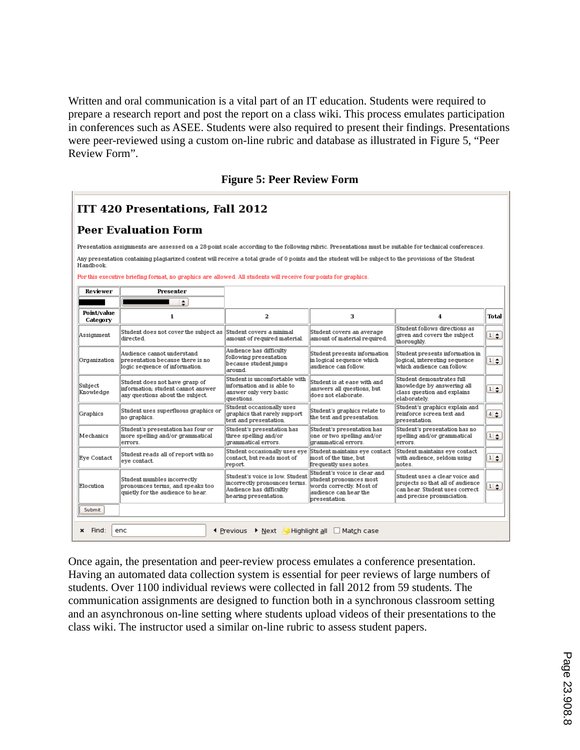Written and oral communication is a vital part of an IT education. Students were required to prepare a research report and post the report on a class wiki. This process emulates participation in conferences such as ASEE. Students were also required to present their findings. Presentations were peer-reviewed using a custom on-line rubric and database as illustrated in Figure 5, "Peer Review Form".

|  |  |  | <b>Figure 5: Peer Review Form</b> |  |
|--|--|--|-----------------------------------|--|
|--|--|--|-----------------------------------|--|

| $\vert$ ITT 420 Presentations, Fall 2012 |
|------------------------------------------|
| $\parallel$ Peer Evaluation Form         |

Presentation assignments are assessed on a 28-point scale according to the following rubric. Presentations must be suitable for technical conferences.

Any presentation containing plagiarized content will receive a total grade of 0 points and the student will be subject to the provisions of the Student Handbook.

For this executive briefing format, no graphics are allowed. All students will receive four points for graphics

| Reviewer                                                                                              | Presenter                                                                                                |                                                                                                                      |                                                                                                                               |                                                                                                                                    |                  |
|-------------------------------------------------------------------------------------------------------|----------------------------------------------------------------------------------------------------------|----------------------------------------------------------------------------------------------------------------------|-------------------------------------------------------------------------------------------------------------------------------|------------------------------------------------------------------------------------------------------------------------------------|------------------|
|                                                                                                       | $\div$                                                                                                   |                                                                                                                      |                                                                                                                               |                                                                                                                                    |                  |
| Point/value<br>Category                                                                               | 1                                                                                                        | $\mathbf{2}$                                                                                                         | з                                                                                                                             | 4                                                                                                                                  | Total            |
| Assignment                                                                                            | Student does not cover the subject as<br>directed.                                                       | Student covers a minimal<br>amount of required material.                                                             | Student covers an average<br>amount of material required.                                                                     | Student follows directions as<br>given and covers the subject<br>thoroughly.                                                       | $1 \div$         |
| Organization                                                                                          | Audience cannot understand<br>presentation because there is no<br>logic sequence of information.         | Audience has difficulty<br>following presentation<br>because student jumps<br>around.                                | Student presents information<br>in logical sequence which<br>audience can follow.                                             | Student presents information in<br>logical, interesting sequence<br>which audience can follow.                                     | $1$ $\div$       |
| Subject<br>Knowledge                                                                                  | Student does not have grasp of<br>information: student cannot answer<br>any questions about the subject. | Student is uncomfortable with<br>information and is able to<br>answer only very basic<br>questions.                  | Student is at ease with and<br>answers all questions, but<br>does not elaborate.                                              | Student demonstrates full<br>knowledge by answering all<br>class question and explains<br>elaborately.                             | $1 \div$         |
| Graphics                                                                                              | Student uses superfluous graphics or<br>no graphics.                                                     | Student occasionally uses<br>graphics that rarely support<br>text and presentation.                                  | Student's graphics relate to<br>the text and presentation.                                                                    | Student's graphics explain and<br>reinforce screen text and<br>presentation.                                                       | $4 \div$         |
| Mechanics                                                                                             | Student's presentation has four or<br>more spelling and/or grammatical<br>errors.                        | Student's presentation has<br>three spelling and/or<br>grammatical errors.                                           | Student's presentation has<br>one or two spelling and/or<br>grammatical errors.                                               | Student's presentation has no<br>spelling and/or grammatical<br>errors.                                                            | $\frac{1}{\tau}$ |
| Eve Contact                                                                                           | Student reads all of report with no<br>eye contact.                                                      | Student occasionally uses eve<br>contact, but reads most of<br>report.                                               | Student maintains eve contact<br>most of the time, but<br>frequently uses notes.                                              | Student maintains eve contact<br>with audience, seldom using<br>notes.                                                             | $1 \div$         |
| Elocution                                                                                             | Student mumbles incorrectly<br>pronounces terms, and speaks too<br>quietly for the audience to hear.     | Student's voice is low. Student<br>incorrectly pronounces terms<br>Audience has difficultly<br>hearing presentation. | Student's voice is clear and<br>student pronounces most<br>words correctly. Most of<br>audience can hear the<br>presentation. | Student uses a clear voice and<br>projects so that all of audience<br>can hear. Student uses correct<br>and precise pronunciation. | $1 \div$         |
| Submit                                                                                                |                                                                                                          |                                                                                                                      |                                                                                                                               |                                                                                                                                    |                  |
| Find:<br>enc<br>$\triangleright$ Next $\triangleright$ Highlight all<br>×<br>← Previous<br>Match case |                                                                                                          |                                                                                                                      |                                                                                                                               |                                                                                                                                    |                  |

Once again, the presentation and peer-review process emulates a conference presentation. Having an automated data collection system is essential for peer reviews of large numbers of students. Over 1100 individual reviews were collected in fall 2012 from 59 students. The communication assignments are designed to function both in a synchronous classroom setting and an asynchronous on-line setting where students upload videos of their presentations to the class wiki. The instructor used a similar on-line rubric to assess student papers.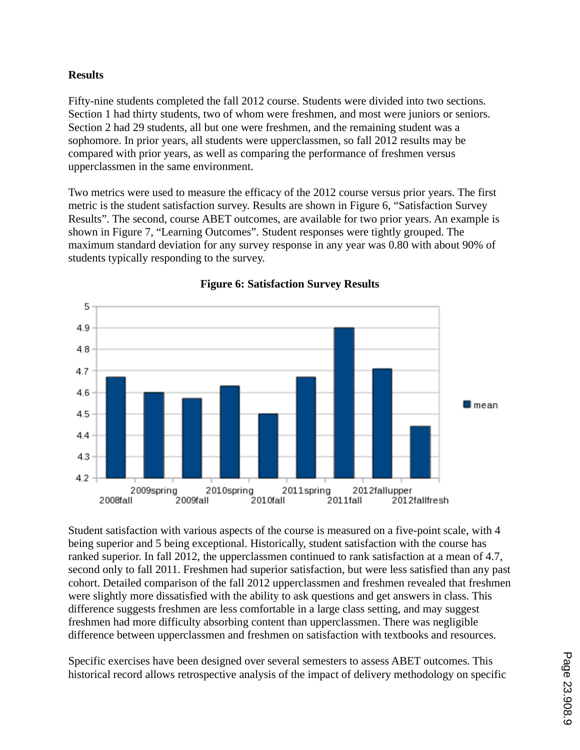### **Results**

Fifty-nine students completed the fall 2012 course. Students were divided into two sections. Section 1 had thirty students, two of whom were freshmen, and most were juniors or seniors. Section 2 had 29 students, all but one were freshmen, and the remaining student was a sophomore. In prior years, all students were upperclassmen, so fall 2012 results may be compared with prior years, as well as comparing the performance of freshmen versus upperclassmen in the same environment.

Two metrics were used to measure the efficacy of the 2012 course versus prior years. The first metric is the student satisfaction survey. Results are shown in Figure 6, "Satisfaction Survey Results". The second, course ABET outcomes, are available for two prior years. An example is shown in Figure 7, "Learning Outcomes". Student responses were tightly grouped. The maximum standard deviation for any survey response in any year was 0.80 with about 90% of students typically responding to the survey.



**Figure 6: Satisfaction Survey Results**

Student satisfaction with various aspects of the course is measured on a five-point scale, with 4 being superior and 5 being exceptional. Historically, student satisfaction with the course has ranked superior. In fall 2012, the upperclassmen continued to rank satisfaction at a mean of 4.7, second only to fall 2011. Freshmen had superior satisfaction, but were less satisfied than any past cohort. Detailed comparison of the fall 2012 upperclassmen and freshmen revealed that freshmen were slightly more dissatisfied with the ability to ask questions and get answers in class. This difference suggests freshmen are less comfortable in a large class setting, and may suggest freshmen had more difficulty absorbing content than upperclassmen. There was negligible difference between upperclassmen and freshmen on satisfaction with textbooks and resources.

Specific exercises have been designed over several semesters to assess ABET outcomes. This historical record allows retrospective analysis of the impact of delivery methodology on specific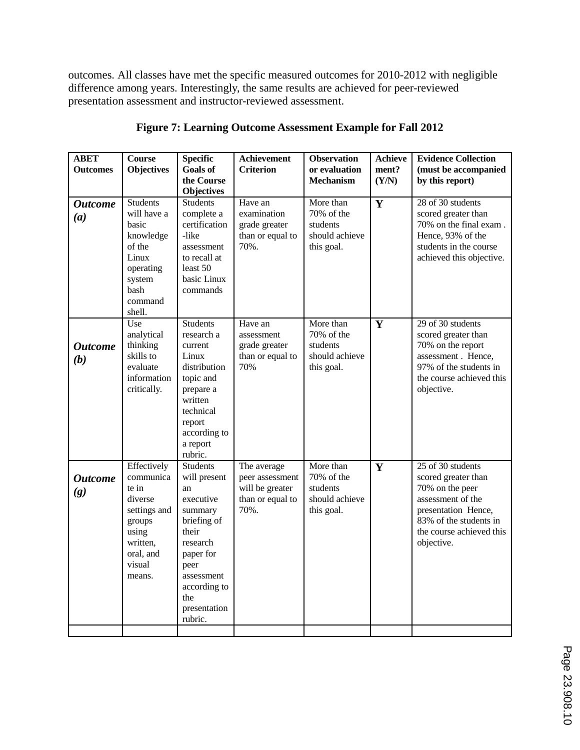outcomes. All classes have met the specific measured outcomes for 2010-2012 with negligible difference among years. Interestingly, the same results are achieved for peer-reviewed presentation assessment and instructor-reviewed assessment.

| <b>ABET</b><br><b>Outcomes</b> | <b>Course</b><br><b>Objectives</b>                                                                                           | <b>Specific</b><br><b>Goals of</b><br>the Course<br><b>Objectives</b>                                                                                                                  | <b>Achievement</b><br><b>Criterion</b>                                        | <b>Observation</b><br>or evaluation<br><b>Mechanism</b>             | <b>Achieve</b><br>ment?<br>(Y/N) | <b>Evidence Collection</b><br>(must be accompanied<br>by this report)                                                                                                       |
|--------------------------------|------------------------------------------------------------------------------------------------------------------------------|----------------------------------------------------------------------------------------------------------------------------------------------------------------------------------------|-------------------------------------------------------------------------------|---------------------------------------------------------------------|----------------------------------|-----------------------------------------------------------------------------------------------------------------------------------------------------------------------------|
| <b>Outcome</b><br>(a)          | <b>Students</b><br>will have a<br>basic<br>knowledge<br>of the<br>Linux<br>operating<br>system<br>bash<br>command<br>shell.  | <b>Students</b><br>complete a<br>certification<br>-like<br>assessment<br>to recall at<br>least 50<br>basic Linux<br>commands                                                           | Have an<br>examination<br>grade greater<br>than or equal to<br>70%.           | More than<br>70% of the<br>students<br>should achieve<br>this goal. | Y                                | 28 of 30 students<br>scored greater than<br>70% on the final exam.<br>Hence, 93% of the<br>students in the course<br>achieved this objective.                               |
| <b>Outcome</b><br>(b)          | Use<br>analytical<br>thinking<br>skills to<br>evaluate<br>information<br>critically.                                         | <b>Students</b><br>research a<br>current<br>Linux<br>distribution<br>topic and<br>prepare a<br>written<br>technical<br>report<br>according to<br>a report<br>rubric.                   | Have an<br>assessment<br>grade greater<br>than or equal to<br>70%             | More than<br>70% of the<br>students<br>should achieve<br>this goal. | Y                                | 29 of 30 students<br>scored greater than<br>70% on the report<br>assessment. Hence,<br>97% of the students in<br>the course achieved this<br>objective.                     |
| <b>Outcome</b><br>(g)          | Effectively<br>communica<br>te in<br>diverse<br>settings and<br>groups<br>using<br>written,<br>oral, and<br>visual<br>means. | <b>Students</b><br>will present<br>an<br>executive<br>summary<br>briefing of<br>their<br>research<br>paper for<br>peer<br>assessment<br>according to<br>the<br>presentation<br>rubric. | The average<br>peer assessment<br>will be greater<br>than or equal to<br>70%. | More than<br>70% of the<br>students<br>should achieve<br>this goal. | Y                                | 25 of 30 students<br>scored greater than<br>70% on the peer<br>assessment of the<br>presentation Hence,<br>83% of the students in<br>the course achieved this<br>objective. |

**Figure 7: Learning Outcome Assessment Example for Fall 2012**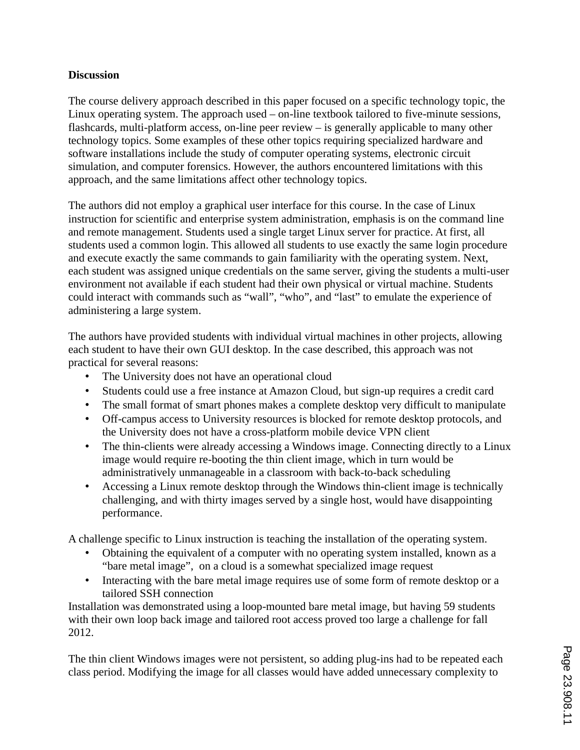### **Discussion**

The course delivery approach described in this paper focused on a specific technology topic, the Linux operating system. The approach used – on-line textbook tailored to five-minute sessions, flashcards, multi-platform access, on-line peer review – is generally applicable to many other technology topics. Some examples of these other topics requiring specialized hardware and software installations include the study of computer operating systems, electronic circuit simulation, and computer forensics. However, the authors encountered limitations with this approach, and the same limitations affect other technology topics.

The authors did not employ a graphical user interface for this course. In the case of Linux instruction for scientific and enterprise system administration, emphasis is on the command line and remote management. Students used a single target Linux server for practice. At first, all students used a common login. This allowed all students to use exactly the same login procedure and execute exactly the same commands to gain familiarity with the operating system. Next, each student was assigned unique credentials on the same server, giving the students a multi-user environment not available if each student had their own physical or virtual machine. Students could interact with commands such as "wall", "who", and "last" to emulate the experience of administering a large system.

The authors have provided students with individual virtual machines in other projects, allowing each student to have their own GUI desktop. In the case described, this approach was not practical for several reasons:

- The University does not have an operational cloud
- Students could use a free instance at Amazon Cloud, but sign-up requires a credit card
- The small format of smart phones makes a complete desktop very difficult to manipulate
- Off-campus access to University resources is blocked for remote desktop protocols, and the University does not have a cross-platform mobile device VPN client
- The thin-clients were already accessing a Windows image. Connecting directly to a Linux image would require re-booting the thin client image, which in turn would be administratively unmanageable in a classroom with back-to-back scheduling
- Accessing a Linux remote desktop through the Windows thin-client image is technically challenging, and with thirty images served by a single host, would have disappointing performance.

A challenge specific to Linux instruction is teaching the installation of the operating system.

- Obtaining the equivalent of a computer with no operating system installed, known as a "bare metal image", on a cloud is a somewhat specialized image request
- Interacting with the bare metal image requires use of some form of remote desktop or a tailored SSH connection

Installation was demonstrated using a loop-mounted bare metal image, but having 59 students with their own loop back image and tailored root access proved too large a challenge for fall 2012.

The thin client Windows images were not persistent, so adding plug-ins had to be repeated each class period. Modifying the image for all classes would have added unnecessary complexity to